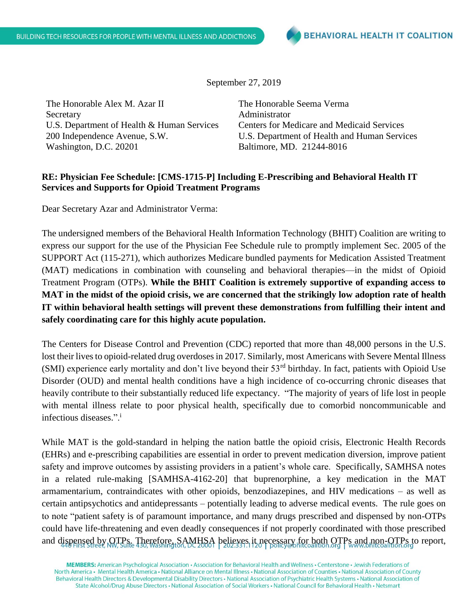September 27, 2019

The Honorable Alex M. Azar II Secretary U.S. Department of Health & Human Services 200 Independence Avenue, S.W. Washington, D.C. 20201

The Honorable Seema Verma Administrator Centers for Medicare and Medicaid Services U.S. Department of Health and Human Services Baltimore, MD. 21244-8016

## **RE: Physician Fee Schedule: [CMS-1715-P] Including E-Prescribing and Behavioral Health IT Services and Supports for Opioid Treatment Programs**

Dear Secretary Azar and Administrator Verma:

The undersigned members of the Behavioral Health Information Technology (BHIT) Coalition are writing to express our support for the use of the Physician Fee Schedule rule to promptly implement Sec. 2005 of the SUPPORT Act (115-271), which authorizes Medicare bundled payments for Medication Assisted Treatment (MAT) medications in combination with counseling and behavioral therapies—in the midst of Opioid Treatment Program (OTPs). **While the BHIT Coalition is extremely supportive of expanding access to MAT in the midst of the opioid crisis, we are concerned that the strikingly low adoption rate of health IT within behavioral health settings will prevent these demonstrations from fulfilling their intent and safely coordinating care for this highly acute population.**

The Centers for Disease Control and Prevention (CDC) reported that more than 48,000 persons in the U.S. lost their lives to opioid-related drug overdoses in 2017. Similarly, most Americans with Severe Mental Illness (SMI) experience early mortality and don't live beyond their 53<sup>rd</sup> birthday. In fact, patients with Opioid Use Disorder (OUD) and mental health conditions have a high incidence of co-occurring chronic diseases that heavily contribute to their substantially reduced life expectancy. "The majority of years of life lost in people with mental illness relate to poor physical health, specifically due to comorbid noncommunicable and infectious diseases.".<sup>i</sup>

While MAT is the gold-standard in helping the nation battle the opioid crisis, Electronic Health Records (EHRs) and e-prescribing capabilities are essential in order to prevent medication diversion, improve patient safety and improve outcomes by assisting providers in a patient's whole care. Specifically, SAMHSA notes in a related rule-making [SAMHSA-4162-20] that buprenorphine, a key medication in the MAT armamentarium, contraindicates with other opioids, benzodiazepines, and HIV medications – as well as certain antipsychotics and antidepressants – potentially leading to adverse medical events. The rule goes on to note "patient safety is of paramount importance, and many drugs prescribed and dispensed by non-OTPs could have life-threatening and even deadly consequences if not properly coordinated with those prescribed and dispensed by OTPs. Therefore, SAMHSA believes it necessary for both OTPs and non-OTPs to report,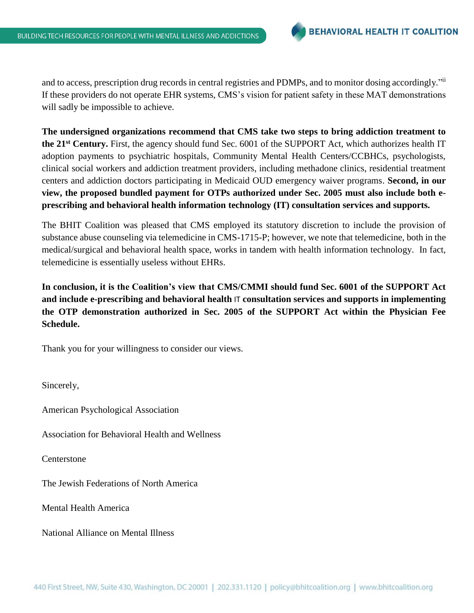and to access, prescription drug records in central registries and PDMPs, and to monitor dosing accordingly."ii If these providers do not operate EHR systems, CMS's vision for patient safety in these MAT demonstrations will sadly be impossible to achieve.

**The undersigned organizations recommend that CMS take two steps to bring addiction treatment to the 21st Century.** First, the agency should fund Sec. 6001 of the SUPPORT Act, which authorizes health IT adoption payments to psychiatric hospitals, Community Mental Health Centers/CCBHCs, psychologists, clinical social workers and addiction treatment providers, including methadone clinics, residential treatment centers and addiction doctors participating in Medicaid OUD emergency waiver programs. **Second, in our view, the proposed bundled payment for OTPs authorized under Sec. 2005 must also include both eprescribing and behavioral health information technology (IT) consultation services and supports.**

The BHIT Coalition was pleased that CMS employed its statutory discretion to include the provision of substance abuse counseling via telemedicine in CMS-1715-P; however, we note that telemedicine, both in the medical/surgical and behavioral health space, works in tandem with health information technology. In fact, telemedicine is essentially useless without EHRs.

**In conclusion, it is the Coalition's view that CMS/CMMI should fund Sec. 6001 of the SUPPORT Act and include e-prescribing and behavioral health** IT **consultation services and supports in implementing the OTP demonstration authorized in Sec. 2005 of the SUPPORT Act within the Physician Fee Schedule.**

Thank you for your willingness to consider our views.

Sincerely,

American Psychological Association

Association for Behavioral Health and Wellness

Centerstone

The Jewish Federations of North America

Mental Health America

National Alliance on Mental Illness